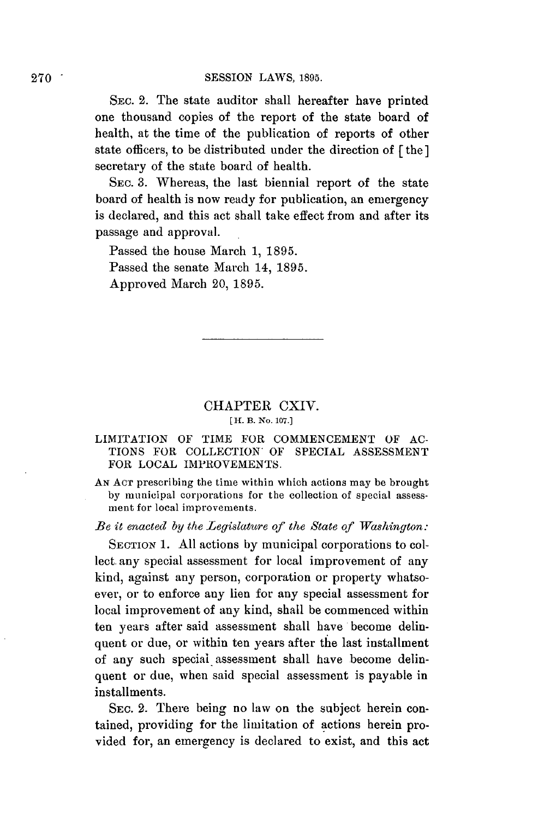SEc. 2. The state auditor shall hereafter have printed one thousand copies of the report of the state board of health, at the time of the publication of reports of other state officers, to be distributed under the direction of **[the]** secretary of the state board of health.

SEC. **3.** Whereas, the last biennial report of the state board of health is now ready for publication, an emergency is declared, and this act shall take effect from and after its passage and approval.

Passed the house March **1, 1895.** Passed the senate March 14, **1895.** Approved March 20, **1895.**

# CHAPTER CXIV.

#### **[ H. B. No. 107.]**

#### **LIMITATION** OF TIME FOR **COMMENCEMENT** OF **AC-**TIONS FOR COLLECTION OF **SPECIAL ASSESSMENT** FOR **LOCAL** IMPROVEMENTS.

*AN* **ACT** prescribing the time within which actions may be brought **by** municipal corporations for the collection of special assessment for local improvements.

*Be it enacted by the Legislature of the State of Washington:*

**SECTION 1. All** actions **by** municipal corporations to collect. any special assessment for local improvement of any kind, against any person, corporation or property whatsoever, or to enforce any lien for any special assessment for local improvement of any kind, shall be commenced within ten years after said assessment shall have become delinquent or due, or within ten years after the last installment of any such special assessment shall have become delinquent or due, when said special assessment is payable in installments.

**SEC.** 2. There being no law on the subject herein contained, providing for the limitation of actions herein provided for, an emergency is declared to exist, and this act